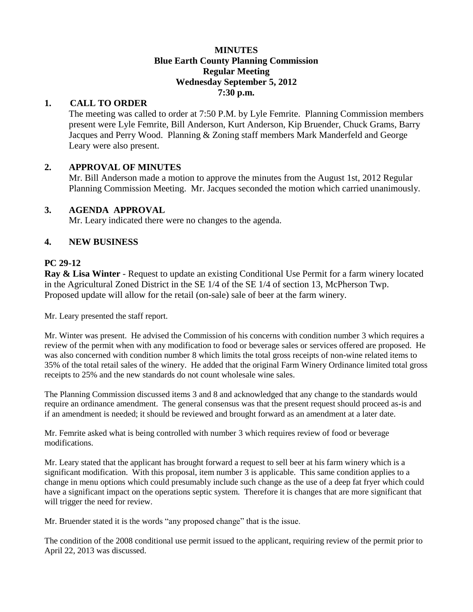#### **MINUTES Blue Earth County Planning Commission Regular Meeting Wednesday September 5, 2012 7:30 p.m.**

# **1. CALL TO ORDER**

The meeting was called to order at 7:50 P.M. by Lyle Femrite. Planning Commission members present were Lyle Femrite, Bill Anderson, Kurt Anderson, Kip Bruender, Chuck Grams, Barry Jacques and Perry Wood. Planning & Zoning staff members Mark Manderfeld and George Leary were also present.

## **2. APPROVAL OF MINUTES**

Mr. Bill Anderson made a motion to approve the minutes from the August 1st, 2012 Regular Planning Commission Meeting. Mr. Jacques seconded the motion which carried unanimously.

## **3. AGENDA APPROVAL**

Mr. Leary indicated there were no changes to the agenda.

## **4. NEW BUSINESS**

## **PC 29-12**

**Ray & Lisa Winter** - Request to update an existing Conditional Use Permit for a farm winery located in the Agricultural Zoned District in the SE 1/4 of the SE 1/4 of section 13, McPherson Twp. Proposed update will allow for the retail (on-sale) sale of beer at the farm winery.

Mr. Leary presented the staff report.

Mr. Winter was present. He advised the Commission of his concerns with condition number 3 which requires a review of the permit when with any modification to food or beverage sales or services offered are proposed. He was also concerned with condition number 8 which limits the total gross receipts of non-wine related items to 35% of the total retail sales of the winery. He added that the original Farm Winery Ordinance limited total gross receipts to 25% and the new standards do not count wholesale wine sales.

The Planning Commission discussed items 3 and 8 and acknowledged that any change to the standards would require an ordinance amendment. The general consensus was that the present request should proceed as-is and if an amendment is needed; it should be reviewed and brought forward as an amendment at a later date.

Mr. Femrite asked what is being controlled with number 3 which requires review of food or beverage modifications.

Mr. Leary stated that the applicant has brought forward a request to sell beer at his farm winery which is a significant modification. With this proposal, item number 3 is applicable. This same condition applies to a change in menu options which could presumably include such change as the use of a deep fat fryer which could have a significant impact on the operations septic system. Therefore it is changes that are more significant that will trigger the need for review.

Mr. Bruender stated it is the words "any proposed change" that is the issue.

The condition of the 2008 conditional use permit issued to the applicant, requiring review of the permit prior to April 22, 2013 was discussed.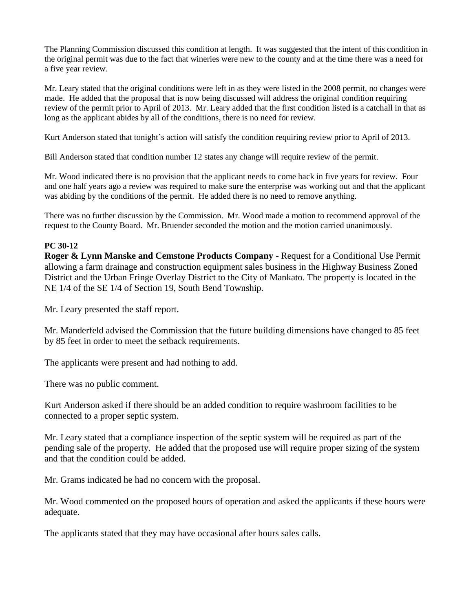The Planning Commission discussed this condition at length. It was suggested that the intent of this condition in the original permit was due to the fact that wineries were new to the county and at the time there was a need for a five year review.

Mr. Leary stated that the original conditions were left in as they were listed in the 2008 permit, no changes were made. He added that the proposal that is now being discussed will address the original condition requiring review of the permit prior to April of 2013. Mr. Leary added that the first condition listed is a catchall in that as long as the applicant abides by all of the conditions, there is no need for review.

Kurt Anderson stated that tonight's action will satisfy the condition requiring review prior to April of 2013.

Bill Anderson stated that condition number 12 states any change will require review of the permit.

Mr. Wood indicated there is no provision that the applicant needs to come back in five years for review. Four and one half years ago a review was required to make sure the enterprise was working out and that the applicant was abiding by the conditions of the permit. He added there is no need to remove anything.

There was no further discussion by the Commission. Mr. Wood made a motion to recommend approval of the request to the County Board. Mr. Bruender seconded the motion and the motion carried unanimously.

#### **PC 30-12**

**Roger & Lynn Manske and Cemstone Products Company** - Request for a Conditional Use Permit allowing a farm drainage and construction equipment sales business in the Highway Business Zoned District and the Urban Fringe Overlay District to the City of Mankato. The property is located in the NE 1/4 of the SE 1/4 of Section 19, South Bend Township.

Mr. Leary presented the staff report.

Mr. Manderfeld advised the Commission that the future building dimensions have changed to 85 feet by 85 feet in order to meet the setback requirements.

The applicants were present and had nothing to add.

There was no public comment.

Kurt Anderson asked if there should be an added condition to require washroom facilities to be connected to a proper septic system.

Mr. Leary stated that a compliance inspection of the septic system will be required as part of the pending sale of the property. He added that the proposed use will require proper sizing of the system and that the condition could be added.

Mr. Grams indicated he had no concern with the proposal.

Mr. Wood commented on the proposed hours of operation and asked the applicants if these hours were adequate.

The applicants stated that they may have occasional after hours sales calls.